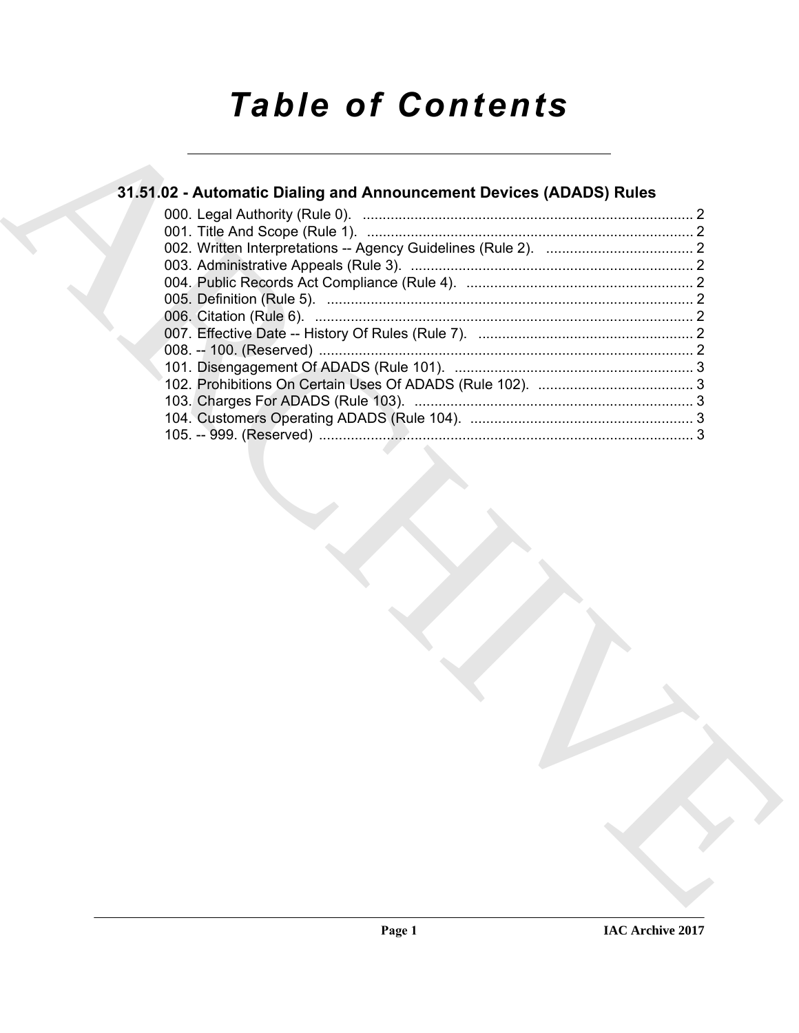## *Table of Contents*

# 31.51.02 - [A](#page-1-0)utomatic Dialing and Announcement Devices (ADADS) [R](#page-1-3)ules<br>
(00) - Trie And Scope (Rule 1).<br>
(02) - Trie And Scope (Rule 1).<br>
(02) - Trie And Scope (Rule 1).<br>
(02) - Alternation - Agos (AUTOR) Suitedings (Rule 2). **31.51.02 - Automatic Dialing and Announcement Devices (ADADS) Rules** 000. Legal Authority (Rule 0). ................................................................................... 2 001. Title And Scope (Rule 1). .................................................................................. 2 002. Written Interpretations -- Agency Guidelines (Rule 2). ..................................... 2 003. Administrative Appeals (Rule 3). ....................................................................... 2 004. Public Records Act Compliance (Rule 4). ......................................................... 2 005. Definition (Rule 5). ............................................................................................ 2 006. Citation (Rule 6). ............................................................................................... 2 007. Effective Date -- History Of Rules (Rule 7). ...................................................... 2 008. -- 100. (Reserved) .............................................................................................. 2 101. Disengagement Of ADADS (Rule 101). ............................................................ 3 102. Prohibitions On Certain Uses Of ADADS (Rule 102). ....................................... 3 103. Charges For ADADS (Rule 103). ...................................................................... 3 104. Customers Operating ADADS (Rule 104). ........................................................ 3 105. -- 999. (Reserved) .............................................................................................. 3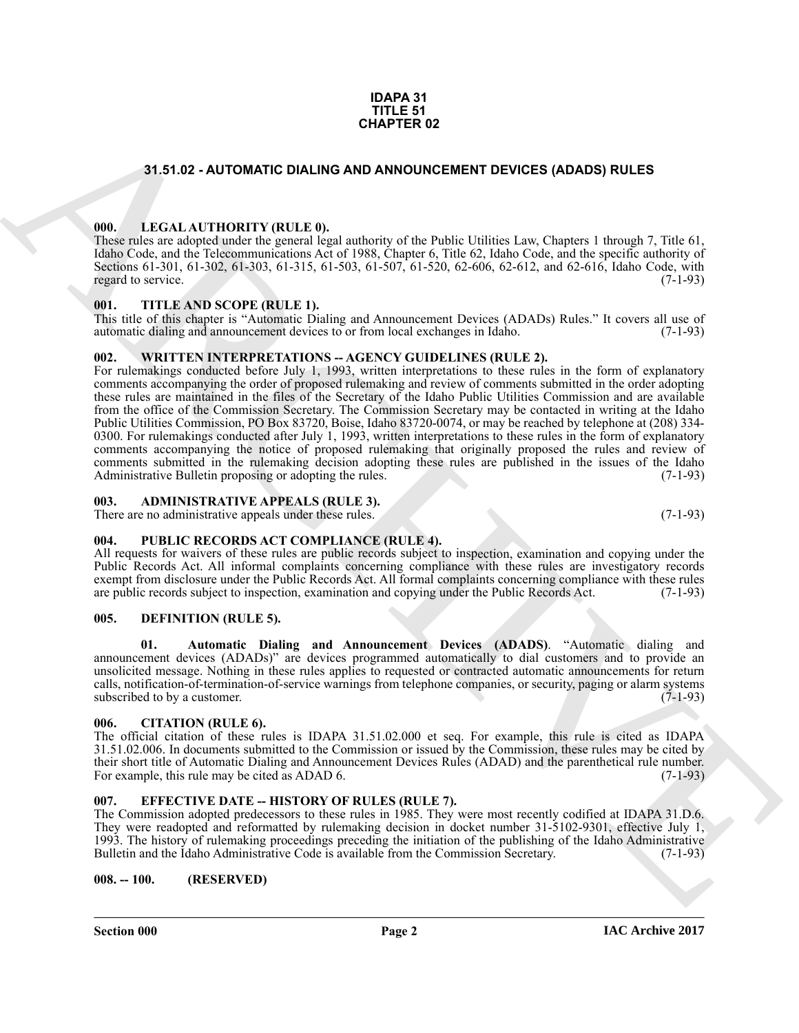#### **IDAPA 31 TITLE 51 CHAPTER 02**

#### <span id="page-1-0"></span>**31.51.02 - AUTOMATIC DIALING AND ANNOUNCEMENT DEVICES (ADADS) RULES**

#### <span id="page-1-1"></span>**000. LEGAL AUTHORITY (RULE 0).**

These rules are adopted under the general legal authority of the Public Utilities Law, Chapters 1 through 7, Title 61, Idaho Code, and the Telecommunications Act of 1988, Chapter 6, Title 62, Idaho Code, and the specific authority of Sections 61-301, 61-302, 61-303, 61-315, 61-503, 61-507, 61-520, 62-606, 62-612, and 62-616, Idaho Code, with regard to service. (7-1-93) regard to service.

#### <span id="page-1-2"></span>**001. TITLE AND SCOPE (RULE 1).**

This title of this chapter is "Automatic Dialing and Announcement Devices (ADADs) Rules." It covers all use of automatic dialing and announcement devices to or from local exchanges in Idaho. (7-1-93) automatic dialing and announcement devices to or from local exchanges in Idaho.

#### <span id="page-1-3"></span>**002. WRITTEN INTERPRETATIONS -- AGENCY GUIDELINES (RULE 2).**

**31.51.02 - AUTOMATIC DIALINO AND ANNOUNCEMENT DEVICES (ADADS) RULES<br>
191.6 - LEVAL AUTIONITY (RULE)<br>
191.6 - LEVAL AUTOMATIC DIALINO AND ANNOUNCEMENT DEVICES (ADADS) RULES<br>
191.6 - LEVAL AUTOMATIC DIALINO AND LURE USE CO** For rulemakings conducted before July 1, 1993, written interpretations to these rules in the form of explanatory comments accompanying the order of proposed rulemaking and review of comments submitted in the order adopting these rules are maintained in the files of the Secretary of the Idaho Public Utilities Commission and are available from the office of the Commission Secretary. The Commission Secretary may be contacted in writing at the Idaho Public Utilities Commission, PO Box 83720, Boise, Idaho 83720-0074, or may be reached by telephone at (208) 334- 0300. For rulemakings conducted after July 1, 1993, written interpretations to these rules in the form of explanatory comments accompanying the notice of proposed rulemaking that originally proposed the rules and review of comments submitted in the rulemaking decision adopting these rules are published in the issues of the Idaho Administrative Bulletin proposing or adopting the rules. (7-1-93) Administrative Bulletin proposing or adopting the rules.

#### <span id="page-1-4"></span>**003. ADMINISTRATIVE APPEALS (RULE 3).**

There are no administrative appeals under these rules. (7-1-93)

#### <span id="page-1-5"></span>**004. PUBLIC RECORDS ACT COMPLIANCE (RULE 4).**

All requests for waivers of these rules are public records subject to inspection, examination and copying under the Public Records Act. All informal complaints concerning compliance with these rules are investigatory records exempt from disclosure under the Public Records Act. All formal complaints concerning compliance with these rules are public records subject to inspection, examination and copying under the Public Records Act. (7-1-93) are public records subject to inspection, examination and copying under the Public Records Act.

#### <span id="page-1-10"></span><span id="page-1-6"></span>**005. DEFINITION (RULE 5).**

<span id="page-1-11"></span>**01. Automatic Dialing and Announcement Devices (ADADS)**. "Automatic dialing and announcement devices (ADADs)" are devices programmed automatically to dial customers and to provide an unsolicited message. Nothing in these rules applies to requested or contracted automatic announcements for return calls, notification-of-termination-of-service warnings from telephone companies, or security, paging or alarm systems subscribed to by a customer.  $(7-1-93)$ 

#### <span id="page-1-7"></span>**006. CITATION (RULE 6).**

The official citation of these rules is IDAPA 31.51.02.000 et seq. For example, this rule is cited as IDAPA 31.51.02.006. In documents submitted to the Commission or issued by the Commission, these rules may be cited by their short title of Automatic Dialing and Announcement Devices Rules (ADAD) and the parenthetical rule number.<br>For example, this rule may be cited as ADAD 6. (7-1-93) For example, this rule may be cited as ADAD 6.

#### <span id="page-1-8"></span>**007. EFFECTIVE DATE -- HISTORY OF RULES (RULE 7).**

The Commission adopted predecessors to these rules in 1985. They were most recently codified at IDAPA 31.D.6. They were readopted and reformatted by rulemaking decision in docket number 31-5102-9301, effective July 1, 1993. The history of rulemaking proceedings preceding the initiation of the publishing of the Idaho Administrative Bulletin and the Idaho Administrative Code is available from the Commission Secretary.

#### <span id="page-1-9"></span>**008. -- 100. (RESERVED)**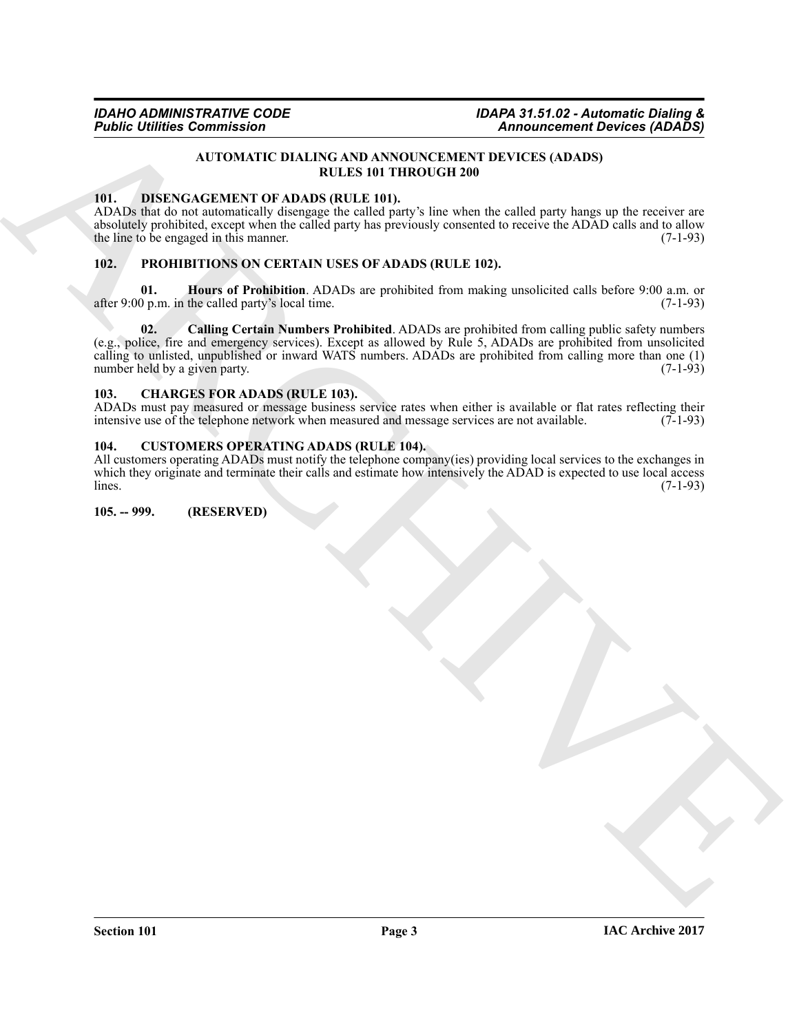#### **AUTOMATIC DIALING AND ANNOUNCEMENT DEVICES (ADADS) RULES 101 THROUGH 200**

#### <span id="page-2-7"></span><span id="page-2-0"></span>**101. DISENGAGEMENT OF ADADS (RULE 101).**

ADADs that do not automatically disengage the called party's line when the called party hangs up the receiver are absolutely prohibited, except when the called party has previously consented to receive the ADAD calls and to allow<br>the line to be engaged in this manner. (7-1-93) the line to be engaged in this manner.

#### <span id="page-2-8"></span><span id="page-2-1"></span>**102. PROHIBITIONS ON CERTAIN USES OF ADADS (RULE 102).**

<span id="page-2-10"></span><span id="page-2-9"></span>**01. Hours of Prohibition**. ADADs are prohibited from making unsolicited calls before 9:00 a.m. or 0 p.m. in the called party's local time. (7-1-93) after  $9:00$  p.m. in the called party's local time.

**Figure Commission**<br>
ATOMICSE UNITED ATTENTS IN A ARCHIVE CONTRACT OF A CONTRACT CONTRACT CONTRACT CONTRACT CONTRACT OF A CONTRACT OF A CONTRACT CONTRACT CONTRACT CONTRACT CONTRACT CONTRACT CONTRACT CONTRACT CONTRACT CONT **02. Calling Certain Numbers Prohibited**. ADADs are prohibited from calling public safety numbers (e.g., police, fire and emergency services). Except as allowed by Rule 5, ADADs are prohibited from unsolicited calling to unlisted, unpublished or inward WATS numbers. ADADs are prohibited from calling more than one (1) number held by a given party. number held by a given party.

#### <span id="page-2-5"></span><span id="page-2-2"></span>**103. CHARGES FOR ADADS (RULE 103).**

ADADs must pay measured or message business service rates when either is available or flat rates reflecting their intensive use of the telephone network when measured and message services are not available. (7-1-93) intensive use of the telephone network when measured and message services are not available.

#### <span id="page-2-6"></span><span id="page-2-3"></span>**104. CUSTOMERS OPERATING ADADS (RULE 104).**

All customers operating ADADs must notify the telephone company(ies) providing local services to the exchanges in which they originate and terminate their calls and estimate how intensively the ADAD is expected to use local access lines.  $\lambda$  (7-1-93)  $(7-1-93)$ 

#### <span id="page-2-4"></span>**105. -- 999. (RESERVED)**